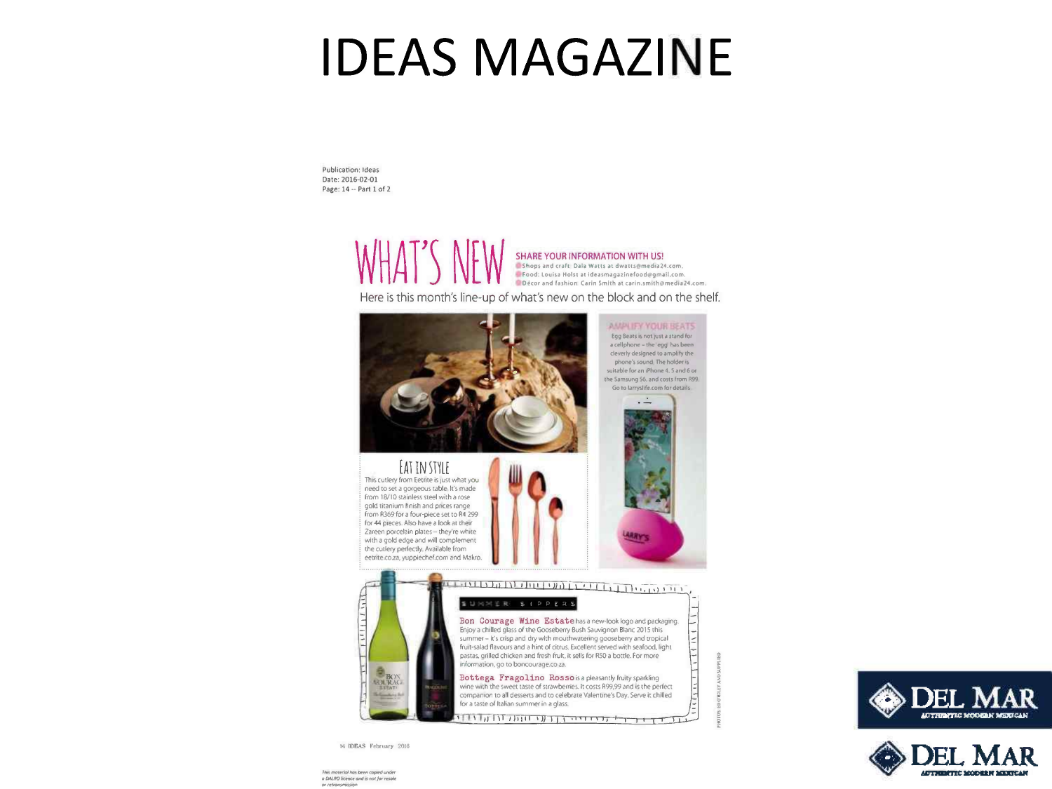## **IDEAS MAGAZINE**

Publication: Ideas Date: 2016-02-01 Page: 14 -- Part 1 of 2

SHARE YOUR INFORMATION WITH US! Shops and craft Dala Watts at dwatts@media24.com. Food: Louisa Holst at ideasmagazinefood@gmail.com. Décor and fashion: Carin Smith at carin.smith@media24.com.

Here is this month's line-up of what's new on the block and on the shelf.



14 IDEAS February 2016

This material has been copied under o DALRO licence and is not for resolv



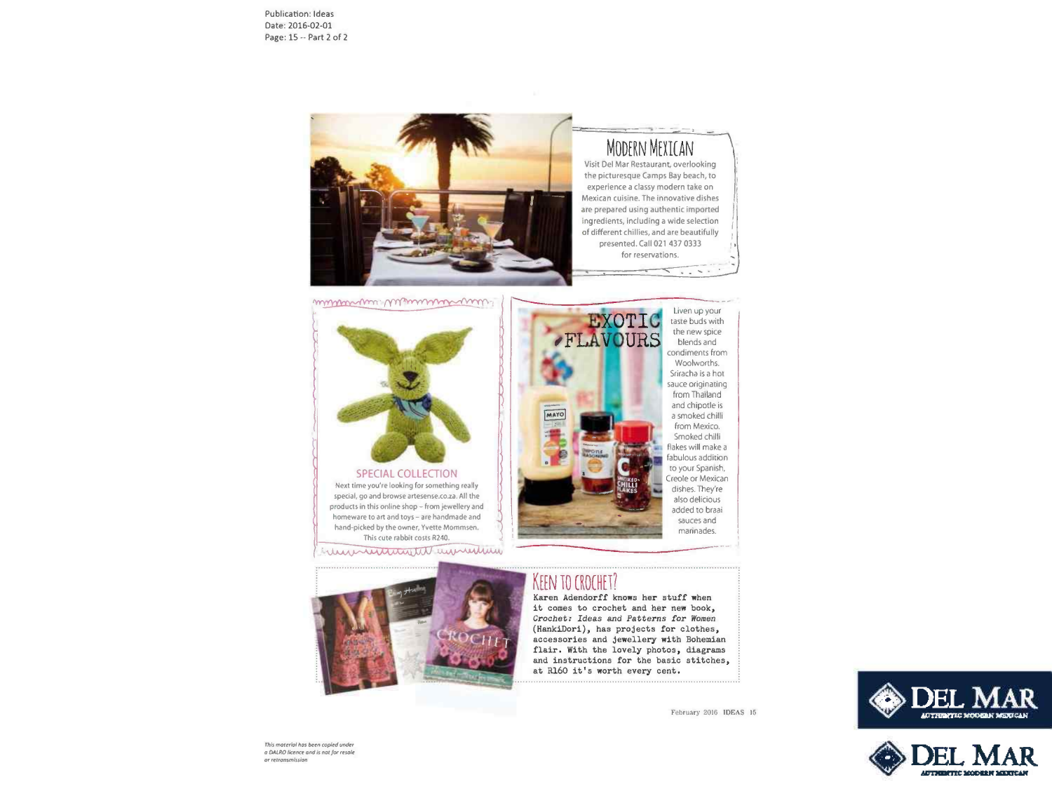Publication: Ideas Date: 2016-02-01 Page: 15 -- Part 2 of 2



muturan Wilmummon



SPECIAL COLLECTION Next time you're looking for something really special, go and browse artesense.co.za. All the products in this online shop - from jewellery and homeware to art and toys - are handmade and hand-picked by the owner, Yvette Mommsen. This cute rabbit costs R240.

wwwwwwwwwwwwww



### **KEEN TO CROCHET?**

Karen Adendorff knows her stuff when it comes to crochet and her new book, Crocbet: Ideas and *Patterns for Women*  (HankiDori), has projects for clothes, accessories and jewellery with Bohemian flair, With the lovely photos, diagrams and instructions for the basic stitches, at Rl60 it's worth every cent.

February 2016 IDEAS 15





**This moterial has been copied under**  $a$  DALRO licence and is nat for resale  $or$  retransmission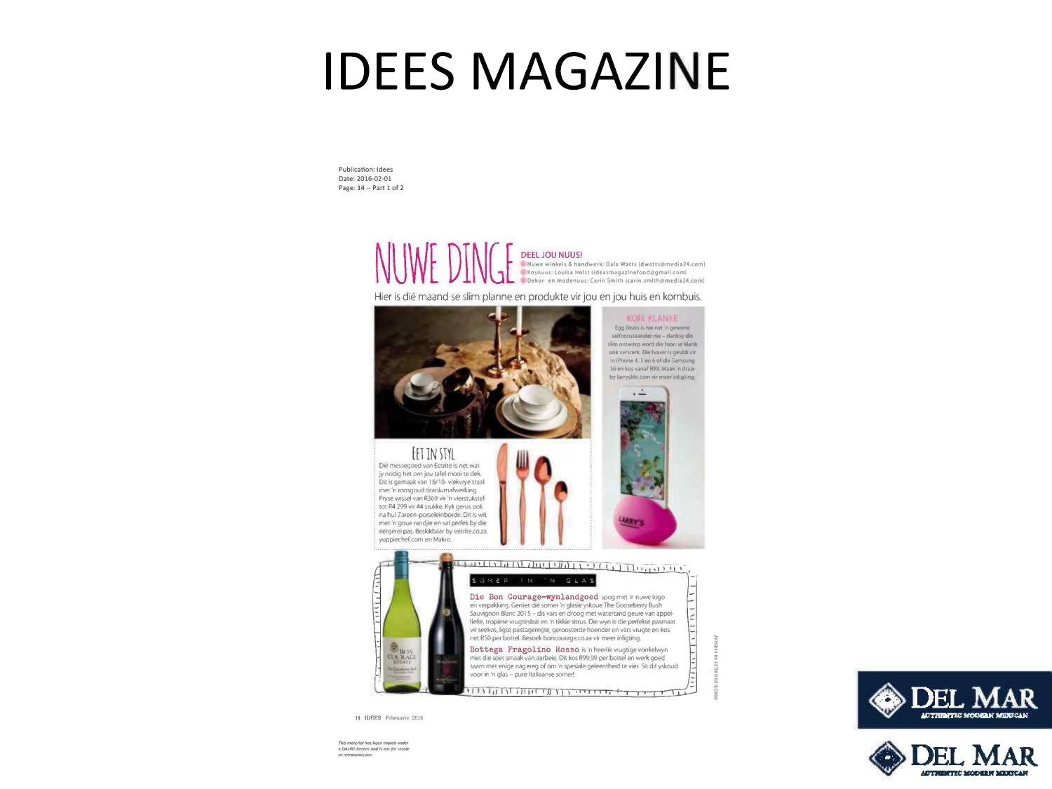# **IDEES MAGAZINE**

Publication: Idees Date: 2016-02-01 Page- 14·· Part 1 of 2

> NUWE DINGELJOU NUUS! . Nuwe winkels & handwerk: Dala Watts (dwatts@media24.com) I Kosnuus: Louisa Holst (ideasmagazinefood@gmail.com) Dekor en modenuus: Carin Smith (carin.smlth@media24.com)

Hier is dié maand se slim planne en produkte vir jou en jou huis en kombuis.



14 IDEES Februarie 2016

This material has been copied under  $e$  DALRO licence and is not for resole or retransmission